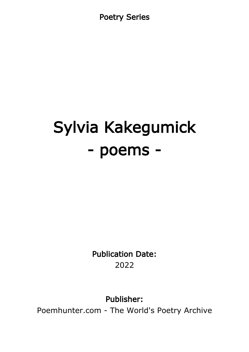Poetry Series

## Sylvia Kakegumick - poems -

Publication Date: 2022

Publisher:

Poemhunter.com - The World's Poetry Archive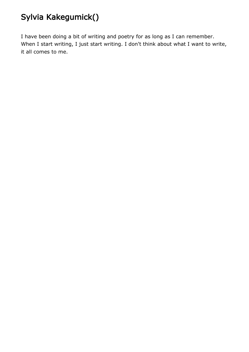## Sylvia Kakegumick()

I have been doing a bit of writing and poetry for as long as I can remember. When I start writing, I just start writing. I don't think about what I want to write, it all comes to me.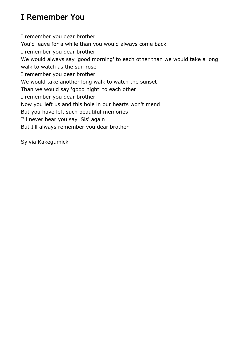## I Remember You

I remember you dear brother You'd leave for a while than you would always come back I remember you dear brother We would always say 'good morning' to each other than we would take a long walk to watch as the sun rose I remember you dear brother We would take another long walk to watch the sunset Than we would say 'good night' to each other I remember you dear brother Now you left us and this hole in our hearts won't mend But you have left such beautiful memories I'll never hear you say 'Sis' again But I'll always remember you dear brother

Sylvia Kakegumick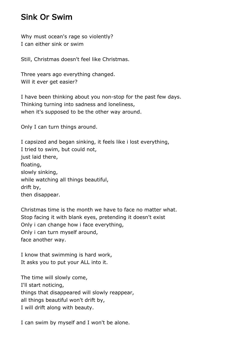## Sink Or Swim

Why must ocean's rage so violently? I can either sink or swim

Still, Christmas doesn't feel like Christmas.

Three years ago everything changed. Will it ever get easier?

I have been thinking about you non-stop for the past few days. Thinking turning into sadness and loneliness, when it's supposed to be the other way around.

Only I can turn things around.

I capsized and began sinking, it feels like i lost everything, I tried to swim, but could not, just laid there, floating, slowly sinking, while watching all things beautiful, drift by, then disappear.

Christmas time is the month we have to face no matter what. Stop facing it with blank eyes, pretending it doesn't exist Only i can change how i face everything, Only i can turn myself around, face another way.

I know that swimming is hard work, It asks you to put your ALL into it.

The time will slowly come, I'll start noticing, things that disappeared will slowly reappear, all things beautiful won't drift by, I will drift along with beauty.

I can swim by myself and I won't be alone.